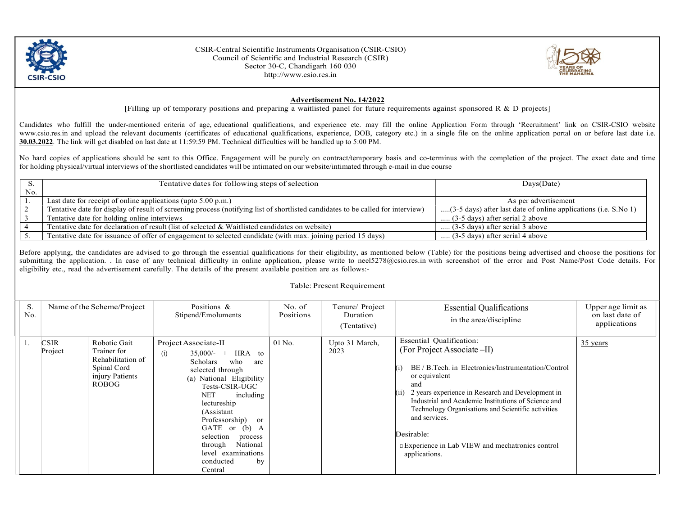

CSIR-Central Scientific Instruments Organisation (CSIR-CSIO) Council of Scientific and Industrial Research (CSIR) Sector 30-C, Chandigarh 160 030 http://www.csio.res.in



## Advertisement No. 14/2022

[Filling up of temporary positions and preparing a waitlisted panel for future requirements against sponsored R  $\&$  D projects]

Candidates who fulfill the under-mentioned criteria of age, educational qualifications, and experience etc. may fill the online Application Form through 'Recruitment' link on CSIR-CSIO website www.csio.res.in and upload the relevant documents (certificates of educational qualifications, experience, DOB, category etc.) in a single file on the online application portal on or before last date i.e. 30.03.2022. The link will get disabled on last date at 11:59:59 PM. Technical difficulties will be handled up to 5:00 PM.

No hard copies of applications should be sent to this Office. Engagement will be purely on contract/temporary basis and co-terminus with the completion of the project. The exact date and time for holding physical/virtual interviews of the shortlisted candidates will be intimated on our website/intimated through e-mail in due course

|     | Tentative dates for following steps of selection                                                                                | $_{\text{Days}(\text{Date})}$                                   |  |
|-----|---------------------------------------------------------------------------------------------------------------------------------|-----------------------------------------------------------------|--|
| No. |                                                                                                                                 |                                                                 |  |
|     | Last date for receipt of online applications (upto $5.00$ p.m.)                                                                 | As per advertisement                                            |  |
|     | Tentative date for display of result of screening process (notifying list of shortlisted candidates to be called for interview) | (3-5 days) after last date of online applications (i.e. S.No 1) |  |
|     | Tentative date for holding online interviews                                                                                    | $(3-5 \text{ days})$ after serial 2 above                       |  |
|     | Tentative date for declaration of result (list of selected & Waitlisted candidates on website)                                  | $(3-5 \text{ days})$ after serial 3 above                       |  |
|     | Tentative date for issuance of offer of engagement to selected candidate (with max. joining period 15 days)                     | $(3-5 \text{ days})$ after serial 4 above                       |  |

Before applying, the candidates are advised to go through the essential qualifications for their eligibility, as mentioned below (Table) for the positions being advertised and choose the positions for submitting the application. . In case of any technical difficulty in online application, please write to neel5278@csio.res.in with screenshot of the error and Post Name/Post Code details. For eligibility etc., read the advertisement carefully. The details of the present available position are as follows:-

## Table: Present Requirement

| S.<br>No. |                 | Name of the Scheme/Project                                                                         | Positions &<br>Stipend/Emoluments                                                                                                                                                                                                                                                                                                               | No. of<br>Positions | Tenure/ Project<br>Duration<br>(Tentative) | <b>Essential Qualifications</b><br>in the area/discipline                                                                                                                                                                                                                                                                                                                                                          | Upper age limit as<br>on last date of<br>applications |
|-----------|-----------------|----------------------------------------------------------------------------------------------------|-------------------------------------------------------------------------------------------------------------------------------------------------------------------------------------------------------------------------------------------------------------------------------------------------------------------------------------------------|---------------------|--------------------------------------------|--------------------------------------------------------------------------------------------------------------------------------------------------------------------------------------------------------------------------------------------------------------------------------------------------------------------------------------------------------------------------------------------------------------------|-------------------------------------------------------|
|           | CSIR<br>Project | Robotic Gait<br>Trainer for<br>Rehabilitation of<br>Spinal Cord<br>injury Patients<br><b>ROBOG</b> | Project Associate-II<br>$35,000/-$ + HRA to<br>(i)<br>who<br>Scholars<br>are<br>selected through<br>(a) National Eligibility<br>Tests-CSIR-UGC<br><b>NET</b><br>including<br>lectureship<br>(Assistant<br>Professorship) or<br>GATE or (b) A<br>selection<br>process<br>National<br>through<br>level examinations<br>conducted<br>by<br>Central | $01$ No.            | Upto 31 March,<br>2023                     | <b>Essential Qualification:</b><br>(For Project Associate –II)<br>BE / B.Tech. in Electronics/Instrumentation/Control<br>or equivalent<br>and<br>2 years experience in Research and Development in<br>Industrial and Academic Institutions of Science and<br>Technology Organisations and Scientific activities<br>and services.<br>Desirable:<br>Experience in Lab VIEW and mechatronics control<br>applications. | $35$ years                                            |